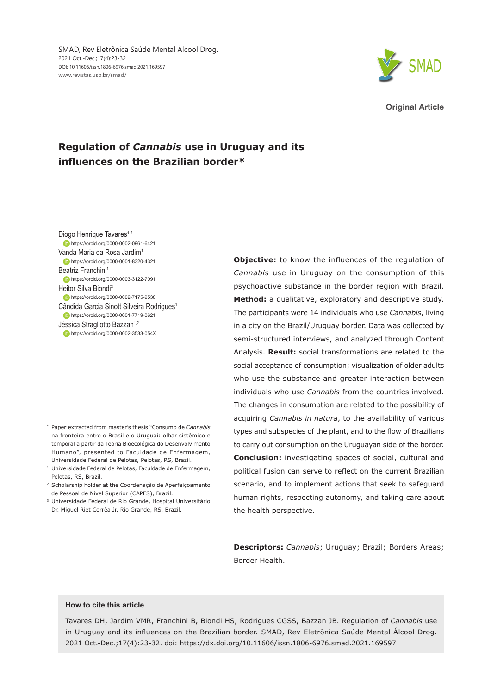SMAD, Rev Eletrônica Saúde Mental Álcool Drog. 2021 Oct.-Dec.;17(4):23-32 DOI: 10.11606/issn.1806-6976.smad.2021.169597 www.revistas.usp.br/smad/



**Original Article**

# **Regulation of** *Cannabis* **use in Uruguay and its influences on the Brazilian border\***

Diogo Henrique Tavares<sup>1,2</sup> **https://orcid.org/0000-0002-0961-6421** Vanda Maria da Rosa Jardim1 https://orcid.org/0000-0001-8320-4321 Beatriz Franchini<sup>1</sup> https://orcid.org/0000-0003-3122-7091 Heitor Silva Biondi3 **https://orcid.org/0000-0002-7175-9538** Cândida Garcia Sinott Silveira Rodrigues<sup>1</sup> https://orcid.org/0000-0001-7719-0621 Jéssica Stragliotto Bazzan<sup>1,2</sup> **https://orcid.org/0000-0002-3533-054X** 

- \* Paper extracted from master's thesis "Consumo de *Cannabis* na fronteira entre o Brasil e o Uruguai: olhar sistêmico e temporal a partir da Teoria Bioecológica do Desenvolvimento Humano", presented to Faculdade de Enfermagem, Universidade Federal de Pelotas, Pelotas, RS, Brazil.
- <sup>1</sup> Universidade Federal de Pelotas, Faculdade de Enfermagem, Pelotas, RS, Brazil.
- <sup>2</sup> Scholarship holder at the Coordenação de Aperfeiçoamento de Pessoal de Nível Superior (CAPES), Brazil.
- <sup>3</sup> Universidade Federal de Rio Grande, Hospital Universitário Dr. Miguel Riet Corrêa Jr, Rio Grande, RS, Brazil.

**Objective:** to know the influences of the regulation of *Cannabis* use in Uruguay on the consumption of this psychoactive substance in the border region with Brazil. **Method:** a qualitative, exploratory and descriptive study. The participants were 14 individuals who use *Cannabis*, living in a city on the Brazil/Uruguay border. Data was collected by semi-structured interviews, and analyzed through Content Analysis. **Result:** social transformations are related to the social acceptance of consumption; visualization of older adults who use the substance and greater interaction between individuals who use *Cannabis* from the countries involved. The changes in consumption are related to the possibility of acquiring *Cannabis in natura*, to the availability of various types and subspecies of the plant, and to the flow of Brazilians to carry out consumption on the Uruguayan side of the border. **Conclusion:** investigating spaces of social, cultural and political fusion can serve to reflect on the current Brazilian scenario, and to implement actions that seek to safeguard human rights, respecting autonomy, and taking care about the health perspective.

**Descriptors:** *Cannabis*; Uruguay; Brazil; Borders Areas; Border Health.

### **How to cite this article**

Tavares DH, Jardim VMR, Franchini B, Biondi HS, Rodrigues CGSS, Bazzan JB. Regulation of *Cannabis* use in Uruguay and its influences on the Brazilian border. SMAD, Rev Eletrônica Saúde Mental Álcool Drog. 2021 Oct.-Dec.;17(4):23-32. doi: https://dx.doi.org/10.11606/issn.1806-6976.smad.2021.169597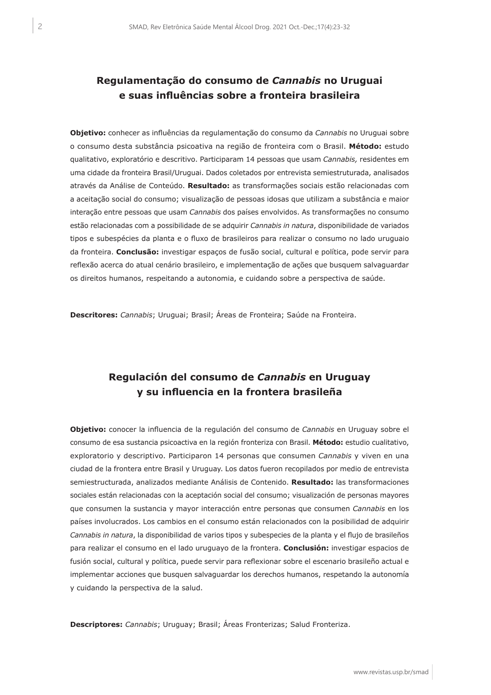# **Regulamentação do consumo de** *Cannabis* **no Uruguai e suas influências sobre a fronteira brasileira**

**Objetivo:** conhecer as influências da regulamentação do consumo da *Cannabis* no Uruguai sobre o consumo desta substância psicoativa na região de fronteira com o Brasil. **Método:** estudo qualitativo, exploratório e descritivo. Participaram 14 pessoas que usam *Cannabis,* residentes em uma cidade da fronteira Brasil/Uruguai. Dados coletados por entrevista semiestruturada, analisados através da Análise de Conteúdo. **Resultado:** as transformações sociais estão relacionadas com a aceitação social do consumo; visualização de pessoas idosas que utilizam a substância e maior interação entre pessoas que usam *Cannabis* dos países envolvidos. As transformações no consumo estão relacionadas com a possibilidade de se adquirir *Cannabis in natura*, disponibilidade de variados tipos e subespécies da planta e o fluxo de brasileiros para realizar o consumo no lado uruguaio da fronteira. **Conclusão:** investigar espaços de fusão social, cultural e política, pode servir para reflexão acerca do atual cenário brasileiro, e implementação de ações que busquem salvaguardar os direitos humanos, respeitando a autonomia, e cuidando sobre a perspectiva de saúde.

**Descritores:** *Cannabis*; Uruguai; Brasil; Áreas de Fronteira; Saúde na Fronteira.

# **Regulación del consumo de** *Cannabis* **en Uruguay y su influencia en la frontera brasileña**

**Objetivo:** conocer la influencia de la regulación del consumo de *Cannabis* en Uruguay sobre el consumo de esa sustancia psicoactiva en la región fronteriza con Brasil. **Método:** estudio cualitativo, exploratorio y descriptivo. Participaron 14 personas que consumen *Cannabis* y viven en una ciudad de la frontera entre Brasil y Uruguay. Los datos fueron recopilados por medio de entrevista semiestructurada, analizados mediante Análisis de Contenido. **Resultado:** las transformaciones sociales están relacionadas con la aceptación social del consumo; visualización de personas mayores que consumen la sustancia y mayor interacción entre personas que consumen *Cannabis* en los países involucrados. Los cambios en el consumo están relacionados con la posibilidad de adquirir *Cannabis in natura*, la disponibilidad de varios tipos y subespecies de la planta y el flujo de brasileños para realizar el consumo en el lado uruguayo de la frontera. **Conclusión:** investigar espacios de fusión social, cultural y política, puede servir para reflexionar sobre el escenario brasileño actual e implementar acciones que busquen salvaguardar los derechos humanos, respetando la autonomía y cuidando la perspectiva de la salud.

**Descriptores:** *Cannabis*; Uruguay; Brasil; Áreas Fronterizas; Salud Fronteriza.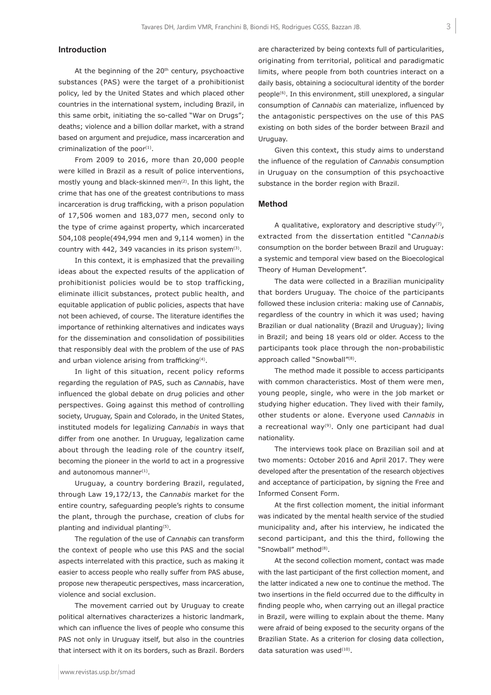# **Introduction**

At the beginning of the  $20<sup>th</sup>$  century, psychoactive substances (PAS) were the target of a prohibitionist policy, led by the United States and which placed other countries in the international system, including Brazil, in this same orbit, initiating the so-called "War on Drugs"; deaths; violence and a billion dollar market, with a strand based on argument and prejudice, mass incarceration and criminalization of the poor $(1)$ .

From 2009 to 2016, more than 20,000 people were killed in Brazil as a result of police interventions, mostly young and black-skinned men<sup>(2)</sup>. In this light, the crime that has one of the greatest contributions to mass incarceration is drug trafficking, with a prison population of 17,506 women and 183,077 men, second only to the type of crime against property, which incarcerated 504,108 people(494,994 men and 9,114 women) in the country with 442, 349 vacancies in its prison system $(3)$ .

In this context, it is emphasized that the prevailing ideas about the expected results of the application of prohibitionist policies would be to stop trafficking, eliminate illicit substances, protect public health, and equitable application of public policies, aspects that have not been achieved, of course. The literature identifies the importance of rethinking alternatives and indicates ways for the dissemination and consolidation of possibilities that responsibly deal with the problem of the use of PAS and urban violence arising from trafficking<sup>(4)</sup>.

In light of this situation, recent policy reforms regarding the regulation of PAS, such as *Cannabis*, have influenced the global debate on drug policies and other perspectives. Going against this method of controlling society, Uruguay, Spain and Colorado, in the United States, instituted models for legalizing *Cannabis* in ways that differ from one another. In Uruguay, legalization came about through the leading role of the country itself, becoming the pioneer in the world to act in a progressive and autonomous manner $(1)$ .

Uruguay, a country bordering Brazil, regulated, through Law 19,172/13, the *Cannabis* market for the entire country, safeguarding people's rights to consume the plant, through the purchase, creation of clubs for planting and individual planting<sup>(5)</sup>.

The regulation of the use of *Cannabis* can transform the context of people who use this PAS and the social aspects interrelated with this practice, such as making it easier to access people who really suffer from PAS abuse, propose new therapeutic perspectives, mass incarceration, violence and social exclusion.

The movement carried out by Uruguay to create political alternatives characterizes a historic landmark, which can influence the lives of people who consume this PAS not only in Uruguay itself, but also in the countries that intersect with it on its borders, such as Brazil. Borders are characterized by being contexts full of particularities, originating from territorial, political and paradigmatic limits, where people from both countries interact on a daily basis, obtaining a sociocultural identity of the border people(6). In this environment, still unexplored, a singular consumption of *Cannabis* can materialize, influenced by the antagonistic perspectives on the use of this PAS existing on both sides of the border between Brazil and Uruguay.

Given this context, this study aims to understand the influence of the regulation of *Cannabis* consumption in Uruguay on the consumption of this psychoactive substance in the border region with Brazil.

## **Method**

A qualitative, exploratory and descriptive study(7), extracted from the dissertation entitled "*Cannabis* consumption on the border between Brazil and Uruguay: a systemic and temporal view based on the Bioecological Theory of Human Development".

The data were collected in a Brazilian municipality that borders Uruguay. The choice of the participants followed these inclusion criteria: making use of *Cannabis*, regardless of the country in which it was used; having Brazilian or dual nationality (Brazil and Uruguay); living in Brazil; and being 18 years old or older. Access to the participants took place through the non-probabilistic approach called "Snowball"<sup>(8)</sup>.

The method made it possible to access participants with common characteristics. Most of them were men, young people, single, who were in the job market or studying higher education. They lived with their family, other students or alone. Everyone used *Cannabis* in a recreational way(9). Only one participant had dual nationality.

The interviews took place on Brazilian soil and at two moments: October 2016 and April 2017. They were developed after the presentation of the research objectives and acceptance of participation, by signing the Free and Informed Consent Form.

At the first collection moment, the initial informant was indicated by the mental health service of the studied municipality and, after his interview, he indicated the second participant, and this the third, following the "Snowball" method<sup>(8)</sup>.

At the second collection moment, contact was made with the last participant of the first collection moment, and the latter indicated a new one to continue the method. The two insertions in the field occurred due to the difficulty in finding people who, when carrying out an illegal practice in Brazil, were willing to explain about the theme. Many were afraid of being exposed to the security organs of the Brazilian State. As a criterion for closing data collection, data saturation was used<sup>(10)</sup>.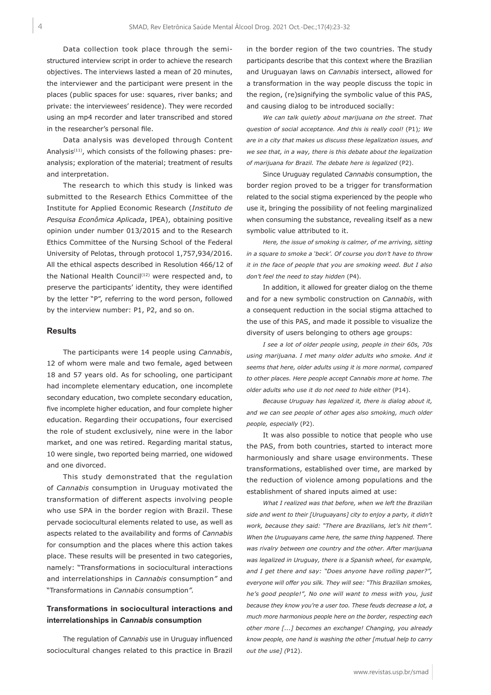Data collection took place through the semistructured interview script in order to achieve the research objectives. The interviews lasted a mean of 20 minutes, the interviewer and the participant were present in the places (public spaces for use: squares, river banks; and private: the interviewees' residence). They were recorded using an mp4 recorder and later transcribed and stored in the researcher's personal file.

Data analysis was developed through Content Analysis(11), which consists of the following phases: preanalysis; exploration of the material; treatment of results and interpretation.

The research to which this study is linked was submitted to the Research Ethics Committee of the Institute for Applied Economic Research (*Instituto de Pesquisa Econômica Aplicada*, IPEA), obtaining positive opinion under number 013/2015 and to the Research Ethics Committee of the Nursing School of the Federal University of Pelotas, through protocol 1,757,934/2016. All the ethical aspects described in Resolution 466/12 of the National Health Council<sup>(12)</sup> were respected and, to preserve the participants' identity, they were identified by the letter "P", referring to the word person, followed by the interview number: P1, P2, and so on.

#### **Results**

The participants were 14 people using *Cannabis*, 12 of whom were male and two female, aged between 18 and 57 years old. As for schooling, one participant had incomplete elementary education, one incomplete secondary education, two complete secondary education, five incomplete higher education, and four complete higher education. Regarding their occupations, four exercised the role of student exclusively, nine were in the labor market, and one was retired. Regarding marital status, 10 were single, two reported being married, one widowed and one divorced.

This study demonstrated that the regulation of *Cannabis* consumption in Uruguay motivated the transformation of different aspects involving people who use SPA in the border region with Brazil. These pervade sociocultural elements related to use, as well as aspects related to the availability and forms of *Cannabis* for consumption and the places where this action takes place. These results will be presented in two categories, namely: "Transformations in sociocultural interactions and interrelationships in *Cannabis* consumption*"* and "Transformations in *Cannabis* consumption*".*

# **Transformations in sociocultural interactions and interrelationships in** *Cannabis* **consumption**

The regulation of *Cannabis* use in Uruguay influenced sociocultural changes related to this practice in Brazil

in the border region of the two countries. The study participants describe that this context where the Brazilian and Uruguayan laws on *Cannabis* intersect, allowed for a transformation in the way people discuss the topic in the region, (re)signifying the symbolic value of this PAS, and causing dialog to be introduced socially:

*We can talk quietly about marijuana on the street. That question of social acceptance. And this is really cool!* (P1)*; We are in a city that makes us discuss these legalization issues, and we see that, in a way, there is this debate about the legalization of marijuana for Brazil. The debate here is legalized* (P2).

Since Uruguay regulated *Cannabis* consumption, the border region proved to be a trigger for transformation related to the social stigma experienced by the people who use it, bringing the possibility of not feeling marginalized when consuming the substance, revealing itself as a new symbolic value attributed to it.

*Here, the issue of smoking is calmer, of me arriving, sitting in a square to smoke a 'beck'. Of course you don't have to throw it in the face of people that you are smoking weed. But I also don't feel the need to stay hidden* (P4).

In addition, it allowed for greater dialog on the theme and for a new symbolic construction on *Cannabis*, with a consequent reduction in the social stigma attached to the use of this PAS, and made it possible to visualize the diversity of users belonging to others age groups:

*I see a lot of older people using, people in their 60s, 70s using marijuana. I met many older adults who smoke. And it seems that here, older adults using it is more normal, compared to other places. Here people accept Cannabis more at home. The older adults who use it do not need to hide either* (P14).

*Because Uruguay has legalized it, there is dialog about it, and we can see people of other ages also smoking, much older people, especially* (P2).

It was also possible to notice that people who use the PAS, from both countries, started to interact more harmoniously and share usage environments. These transformations, established over time, are marked by the reduction of violence among populations and the establishment of shared inputs aimed at use:

*What I realized was that before, when we left the Brazilian side and went to their [Uruguayans] city to enjoy a party, it didn't work, because they said: "There are Brazilians, let's hit them". When the Uruguayans came here, the same thing happened. There was rivalry between one country and the other. After marijuana was legalized in Uruguay, there is a Spanish wheel, for example, and I get there and say: "Does anyone have rolling paper?", everyone will offer you silk. They will see: "This Brazilian smokes, he's good people!", No one will want to mess with you, just because they know you're a user too. These feuds decrease a lot, a much more harmonious people here on the border, respecting each other more [...] becomes an exchange! Changing, you already know people, one hand is washing the other [mutual help to carry out the use] (*P12).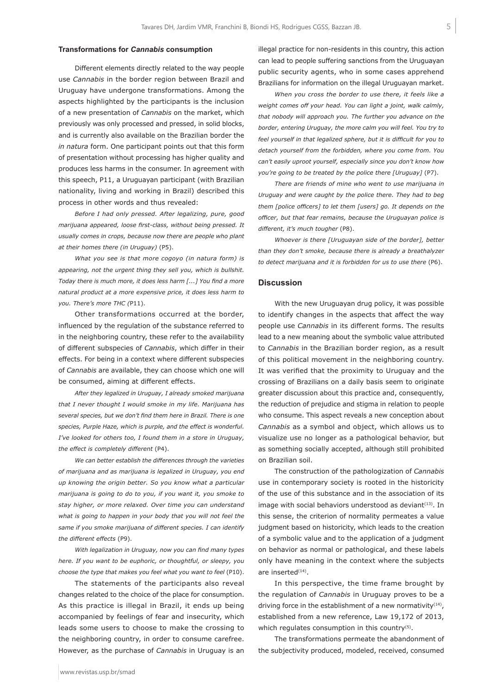## **Transformations for** *Cannabis* **consumption**

Different elements directly related to the way people use *Cannabis* in the border region between Brazil and Uruguay have undergone transformations. Among the aspects highlighted by the participants is the inclusion of a new presentation of *Cannabis* on the market, which previously was only processed and pressed, in solid blocks, and is currently also available on the Brazilian border the *in natura* form. One participant points out that this form of presentation without processing has higher quality and produces less harms in the consumer. In agreement with this speech, P11, a Uruguayan participant (with Brazilian nationality, living and working in Brazil) described this process in other words and thus revealed:

*Before I had only pressed. After legalizing, pure, good marijuana appeared, loose first-class, without being pressed. It usually comes in crops, because now there are people who plant at their homes there (in Uruguay)* (P5).

*What you see is that more cogoyo (in natura form) is appearing, not the urgent thing they sell you, which is bullshit. Today there is much more, it does less harm [...] You find a more natural product at a more expensive price, it does less harm to you. There's more THC (*P11).

Other transformations occurred at the border, influenced by the regulation of the substance referred to in the neighboring country, these refer to the availability of different subspecies of *Cannabis*, which differ in their effects. For being in a context where different subspecies of *Cannabis* are available, they can choose which one will be consumed, aiming at different effects.

*After they legalized in Uruguay, I already smoked marijuana that I never thought I would smoke in my life. Marijuana has several species, but we don't find them here in Brazil. There is one species, Purple Haze, which is purple, and the effect is wonderful. I've looked for others too, I found them in a store in Uruguay, the effect is completely different* (P4).

*We can better establish the differences through the varieties of marijuana and as marijuana is legalized in Uruguay, you end up knowing the origin better. So you know what a particular marijuana is going to do to you, if you want it, you smoke to stay higher, or more relaxed. Over time you can understand what is going to happen in your body that you will not feel the same if you smoke marijuana of different species. I can identify the different effects* (P9).

*With legalization in Uruguay, now you can find many types here. If you want to be euphoric, or thoughtful, or sleepy, you choose the type that makes you feel what you want to feel* (P10).

The statements of the participants also reveal changes related to the choice of the place for consumption. As this practice is illegal in Brazil, it ends up being accompanied by feelings of fear and insecurity, which leads some users to choose to make the crossing to the neighboring country, in order to consume carefree. However, as the purchase of *Cannabis* in Uruguay is an illegal practice for non-residents in this country, this action can lead to people suffering sanctions from the Uruguayan public security agents, who in some cases apprehend Brazilians for information on the illegal Uruguayan market.

*When you cross the border to use there, it feels like a weight comes off your head. You can light a joint, walk calmly, that nobody will approach you. The further you advance on the border, entering Uruguay, the more calm you will feel. You try to feel yourself in that legalized sphere, but it is difficult for you to detach yourself from the forbidden, where you come from. You can't easily uproot yourself, especially since you don't know how you're going to be treated by the police there [Uruguay]* (P7).

*There are friends of mine who went to use marijuana in Uruguay and were caught by the police there. They had to beg them [police officers] to let them [users] go. It depends on the officer, but that fear remains, because the Uruguayan police is different, it's much tougher* (P8).

*Whoever is there [Uruguayan side of the border], better than they don't smoke, because there is already a breathalyzer to detect marijuana and it is forbidden for us to use there* (P6).

### **Discussion**

With the new Uruguayan drug policy, it was possible to identify changes in the aspects that affect the way people use *Cannabis* in its different forms. The results lead to a new meaning about the symbolic value attributed to *Cannabis* in the Brazilian border region, as a result of this political movement in the neighboring country. It was verified that the proximity to Uruguay and the crossing of Brazilians on a daily basis seem to originate greater discussion about this practice and, consequently, the reduction of prejudice and stigma in relation to people who consume. This aspect reveals a new conception about *Cannabis* as a symbol and object, which allows us to visualize use no longer as a pathological behavior, but as something socially accepted, although still prohibited on Brazilian soil.

The construction of the pathologization of *Cannabis* use in contemporary society is rooted in the historicity of the use of this substance and in the association of its image with social behaviors understood as deviant $(13)$ . In this sense, the criterion of normality permeates a value judgment based on historicity, which leads to the creation of a symbolic value and to the application of a judgment on behavior as normal or pathological, and these labels only have meaning in the context where the subjects are inserted<sup>(14)</sup>.

In this perspective, the time frame brought by the regulation of *Cannabis* in Uruguay proves to be a driving force in the establishment of a new normativity $(14)$ , established from a new reference, Law 19,172 of 2013, which regulates consumption in this country<sup>(5)</sup>.

The transformations permeate the abandonment of the subjectivity produced, modeled, received, consumed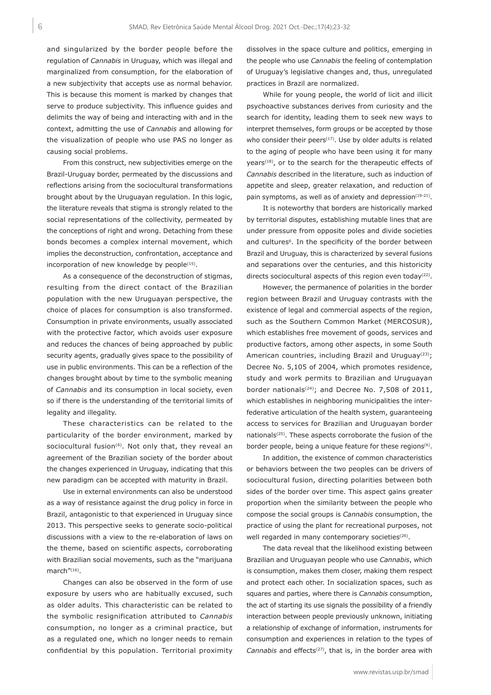and singularized by the border people before the regulation of *Cannabis* in Uruguay, which was illegal and marginalized from consumption, for the elaboration of a new subjectivity that accepts use as normal behavior. This is because this moment is marked by changes that serve to produce subjectivity. This influence guides and delimits the way of being and interacting with and in the context, admitting the use of *Cannabis* and allowing for the visualization of people who use PAS no longer as causing social problems.

From this construct, new subjectivities emerge on the Brazil-Uruguay border, permeated by the discussions and reflections arising from the sociocultural transformations brought about by the Uruguayan regulation. In this logic, the literature reveals that stigma is strongly related to the social representations of the collectivity, permeated by the conceptions of right and wrong. Detaching from these bonds becomes a complex internal movement, which implies the deconstruction, confrontation, acceptance and incorporation of new knowledge by people<sup>(15)</sup>.

As a consequence of the deconstruction of stigmas, resulting from the direct contact of the Brazilian population with the new Uruguayan perspective, the choice of places for consumption is also transformed. Consumption in private environments, usually associated with the protective factor, which avoids user exposure and reduces the chances of being approached by public security agents, gradually gives space to the possibility of use in public environments. This can be a reflection of the changes brought about by time to the symbolic meaning of *Cannabis* and its consumption in local society, even so if there is the understanding of the territorial limits of legality and illegality.

These characteristics can be related to the particularity of the border environment, marked by sociocultural fusion<sup>(6)</sup>. Not only that, they reveal an agreement of the Brazilian society of the border about the changes experienced in Uruguay, indicating that this new paradigm can be accepted with maturity in Brazil.

Use in external environments can also be understood as a way of resistance against the drug policy in force in Brazil, antagonistic to that experienced in Uruguay since 2013. This perspective seeks to generate socio-political discussions with a view to the re-elaboration of laws on the theme, based on scientific aspects, corroborating with Brazilian social movements, such as the "marijuana march"(16).

Changes can also be observed in the form of use exposure by users who are habitually excused, such as older adults. This characteristic can be related to the symbolic resignification attributed to *Cannabis* consumption, no longer as a criminal practice, but as a regulated one, which no longer needs to remain confidential by this population. Territorial proximity

dissolves in the space culture and politics, emerging in the people who use *Cannabis* the feeling of contemplation of Uruguay's legislative changes and, thus, unregulated practices in Brazil are normalized.

While for young people, the world of licit and illicit psychoactive substances derives from curiosity and the search for identity, leading them to seek new ways to interpret themselves, form groups or be accepted by those who consider their peers $(17)$ . Use by older adults is related to the aging of people who have been using it for many years<sup>(18)</sup>, or to the search for the therapeutic effects of *Cannabis* described in the literature, such as induction of appetite and sleep, greater relaxation, and reduction of pain symptoms, as well as of anxiety and depression $(19-21)$ .

It is noteworthy that borders are historically marked by territorial disputes, establishing mutable lines that are under pressure from opposite poles and divide societies and cultures<sup>6</sup>. In the specificity of the border between Brazil and Uruguay, this is characterized by several fusions and separations over the centuries, and this historicity directs sociocultural aspects of this region even today $(22)$ .

However, the permanence of polarities in the border region between Brazil and Uruguay contrasts with the existence of legal and commercial aspects of the region, such as the Southern Common Market (MERCOSUR), which establishes free movement of goods, services and productive factors, among other aspects, in some South American countries, including Brazil and Uruguay<sup>(23)</sup>; Decree No. 5,105 of 2004, which promotes residence, study and work permits to Brazilian and Uruguayan border nationals<sup>(24)</sup>; and Decree No. 7,508 of 2011, which establishes in neighboring municipalities the interfederative articulation of the health system, guaranteeing access to services for Brazilian and Uruguayan border nationals<sup>(25)</sup>. These aspects corroborate the fusion of the border people, being a unique feature for these regions<sup>(6)</sup>.

In addition, the existence of common characteristics or behaviors between the two peoples can be drivers of sociocultural fusion, directing polarities between both sides of the border over time. This aspect gains greater proportion when the similarity between the people who compose the social groups is *Cannabis* consumption, the practice of using the plant for recreational purposes, not well regarded in many contemporary societies<sup>(26)</sup>.

The data reveal that the likelihood existing between Brazilian and Uruguayan people who use *Cannabis*, which is consumption, makes them closer, making them respect and protect each other. In socialization spaces, such as squares and parties, where there is *Cannabis* consumption, the act of starting its use signals the possibility of a friendly interaction between people previously unknown, initiating a relationship of exchange of information, instruments for consumption and experiences in relation to the types of Cannabis and effects<sup>(27)</sup>, that is, in the border area with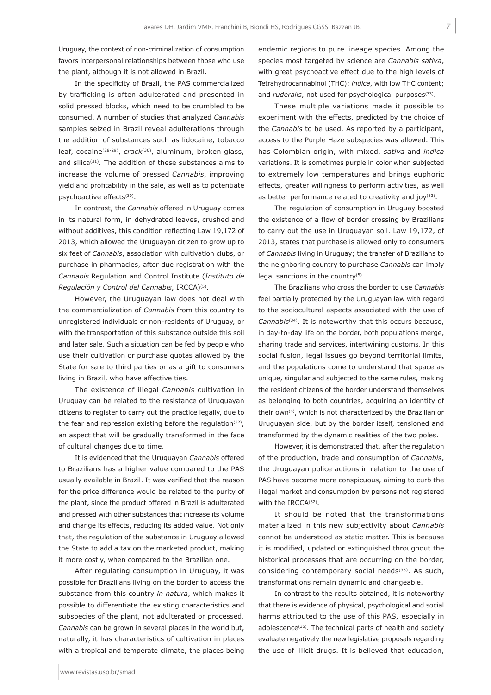Uruguay, the context of non-criminalization of consumption favors interpersonal relationships between those who use the plant, although it is not allowed in Brazil.

In the specificity of Brazil, the PAS commercialized by trafficking is often adulterated and presented in solid pressed blocks, which need to be crumbled to be consumed. A number of studies that analyzed *Cannabis* samples seized in Brazil reveal adulterations through the addition of substances such as lidocaine, tobacco leaf, cocaine(28-29), *crack*(30), aluminum, broken glass, and silica $(31)$ . The addition of these substances aims to increase the volume of pressed *Cannabis*, improving yield and profitability in the sale, as well as to potentiate psychoactive effects<sup>(30)</sup>.

In contrast, the *Cannabis* offered in Uruguay comes in its natural form, in dehydrated leaves, crushed and without additives, this condition reflecting Law 19,172 of 2013, which allowed the Uruguayan citizen to grow up to six feet of *Cannabis*, association with cultivation clubs, or purchase in pharmacies, after due registration with the *Cannabis* Regulation and Control Institute (*Instituto de Regulación y Control del Cannabis*, IRCCA)(5).

However, the Uruguayan law does not deal with the commercialization of *Cannabis* from this country to unregistered individuals or non-residents of Uruguay, or with the transportation of this substance outside this soil and later sale. Such a situation can be fed by people who use their cultivation or purchase quotas allowed by the State for sale to third parties or as a gift to consumers living in Brazil, who have affective ties.

The existence of illegal *Cannabis* cultivation in Uruguay can be related to the resistance of Uruguayan citizens to register to carry out the practice legally, due to the fear and repression existing before the regulation<sup>(32)</sup>, an aspect that will be gradually transformed in the face of cultural changes due to time.

It is evidenced that the Uruguayan *Cannabis* offered to Brazilians has a higher value compared to the PAS usually available in Brazil. It was verified that the reason for the price difference would be related to the purity of the plant, since the product offered in Brazil is adulterated and pressed with other substances that increase its volume and change its effects, reducing its added value. Not only that, the regulation of the substance in Uruguay allowed the State to add a tax on the marketed product, making it more costly, when compared to the Brazilian one.

After regulating consumption in Uruguay, it was possible for Brazilians living on the border to access the substance from this country *in natura*, which makes it possible to differentiate the existing characteristics and subspecies of the plant, not adulterated or processed. *Cannabis* can be grown in several places in the world but, naturally, it has characteristics of cultivation in places with a tropical and temperate climate, the places being endemic regions to pure lineage species. Among the species most targeted by science are *Cannabis sativa*, with great psychoactive effect due to the high levels of Tetrahydrocannabinol (THC); *indica*, with low THC content; and *ruderalis*, not used for psychological purposes<sup>(33)</sup>.

These multiple variations made it possible to experiment with the effects, predicted by the choice of the *Cannabis* to be used. As reported by a participant, access to the Purple Haze subspecies was allowed. This has Colombian origin, with mixed, *sativa* and *indica* variations. It is sometimes purple in color when subjected to extremely low temperatures and brings euphoric effects, greater willingness to perform activities, as well as better performance related to creativity and  $j$ oy<sup>(33)</sup>.

The regulation of consumption in Uruguay boosted the existence of a flow of border crossing by Brazilians to carry out the use in Uruguayan soil. Law 19,172, of 2013, states that purchase is allowed only to consumers of *Cannabis* living in Uruguay; the transfer of Brazilians to the neighboring country to purchase *Cannabis* can imply legal sanctions in the country $(5)$ .

The Brazilians who cross the border to use *Cannabis* feel partially protected by the Uruguayan law with regard to the sociocultural aspects associated with the use of *Cannabis*(34). It is noteworthy that this occurs because, in day-to-day life on the border, both populations merge, sharing trade and services, intertwining customs. In this social fusion, legal issues go beyond territorial limits, and the populations come to understand that space as unique, singular and subjected to the same rules, making the resident citizens of the border understand themselves as belonging to both countries, acquiring an identity of their own(6), which is not characterized by the Brazilian or Uruguayan side, but by the border itself, tensioned and transformed by the dynamic realities of the two poles.

However, it is demonstrated that, after the regulation of the production, trade and consumption of *Cannabis*, the Uruguayan police actions in relation to the use of PAS have become more conspicuous, aiming to curb the illegal market and consumption by persons not registered with the IRCCA(32).

It should be noted that the transformations materialized in this new subjectivity about *Cannabis* cannot be understood as static matter. This is because it is modified, updated or extinguished throughout the historical processes that are occurring on the border, considering contemporary social needs<sup>(35)</sup>. As such, transformations remain dynamic and changeable.

In contrast to the results obtained, it is noteworthy that there is evidence of physical, psychological and social harms attributed to the use of this PAS, especially in adolescence<sup>(36)</sup>. The technical parts of health and society evaluate negatively the new legislative proposals regarding the use of illicit drugs. It is believed that education,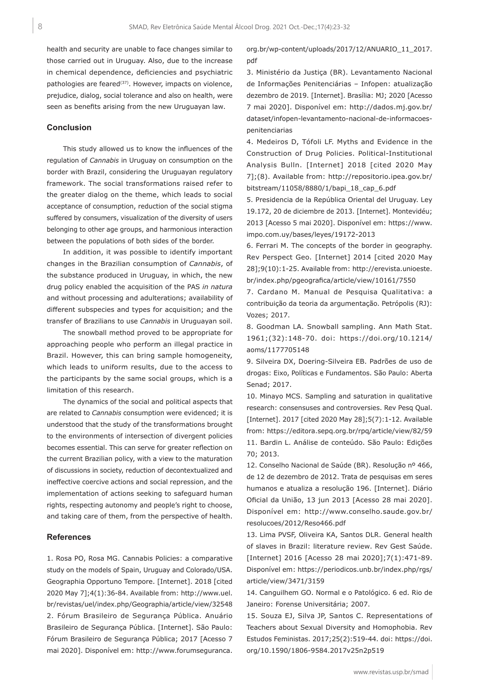health and security are unable to face changes similar to those carried out in Uruguay. Also, due to the increase in chemical dependence, deficiencies and psychiatric pathologies are feared<sup>(37)</sup>. However, impacts on violence, prejudice, dialog, social tolerance and also on health, were seen as benefits arising from the new Uruguayan law.

#### **Conclusion**

This study allowed us to know the influences of the regulation of *Cannabis* in Uruguay on consumption on the border with Brazil, considering the Uruguayan regulatory framework. The social transformations raised refer to the greater dialog on the theme, which leads to social acceptance of consumption, reduction of the social stigma suffered by consumers, visualization of the diversity of users belonging to other age groups, and harmonious interaction between the populations of both sides of the border.

In addition, it was possible to identify important changes in the Brazilian consumption of *Cannabis*, of the substance produced in Uruguay, in which, the new drug policy enabled the acquisition of the PAS *in natura* and without processing and adulterations; availability of different subspecies and types for acquisition; and the transfer of Brazilians to use *Cannabis* in Uruguayan soil.

The snowball method proved to be appropriate for approaching people who perform an illegal practice in Brazil. However, this can bring sample homogeneity, which leads to uniform results, due to the access to the participants by the same social groups, which is a limitation of this research.

The dynamics of the social and political aspects that are related to *Cannabis* consumption were evidenced; it is understood that the study of the transformations brought to the environments of intersection of divergent policies becomes essential. This can serve for greater reflection on the current Brazilian policy, with a view to the maturation of discussions in society, reduction of decontextualized and ineffective coercive actions and social repression, and the implementation of actions seeking to safeguard human rights, respecting autonomy and people's right to choose, and taking care of them, from the perspective of health.

### **References**

1. Rosa PO, Rosa MG. Cannabis Policies: a comparative study on the models of Spain, Uruguay and Colorado/USA. Geographia Opportuno Tempore. [Internet]. 2018 [cited 2020 May 7];4(1):36-84. Available from: http://www.uel. br/revistas/uel/index.php/Geographia/article/view/32548 2. Fórum Brasileiro de Segurança Pública. Anuário Brasileiro de Segurança Pública. [Internet]. São Paulo: Fórum Brasileiro de Segurança Pública; 2017 [Acesso 7 mai 2020]. Disponível em: http://www.forumseguranca.

org.br/wp-content/uploads/2017/12/ANUARIO\_11\_2017. pdf

3. Ministério da Justiça (BR). Levantamento Nacional de Informações Penitenciárias – Infopen: atualização dezembro de 2019. [Internet]. Brasília: MJ; 2020 [Acesso 7 mai 2020]. Disponível em: http://dados.mj.gov.br/ dataset/infopen-levantamento-nacional-de-informacoespenitenciarias

4. Medeiros D, Tófoli LF. Myths and Evidence in the Construction of Drug Policies. Political-Institutional Analysis Bulln. [Internet] 2018 [cited 2020 May 7];(8). Available from: http://repositorio.ipea.gov.br/ bitstream/11058/8880/1/bapi\_18\_cap\_6.pdf

5. Presidencia de la República Oriental del Uruguay. Ley 19.172, 20 de diciembre de 2013. [Internet]. Montevidéu; 2013 [Acesso 5 mai 2020]. Disponível em: https://www. impo.com.uy/bases/leyes/19172-2013

6. Ferrari M. The concepts of the border in geography. Rev Perspect Geo. [Internet] 2014 [cited 2020 May 28];9(10):1-25. Available from: http://erevista.unioeste. br/index.php/pgeografica/article/view/10161/7550

7. Cardano M. Manual de Pesquisa Qualitativa: a contribuição da teoria da argumentação. Petrópolis (RJ): Vozes; 2017.

8. Goodman LA. Snowball sampling. Ann Math Stat. 1961;(32):148-70. doi: https://doi.org/10.1214/ aoms/1177705148

9. Silveira DX, Doering-Silveira EB. Padrões de uso de drogas: Eixo, Políticas e Fundamentos. São Paulo: Aberta Senad; 2017.

10. Minayo MCS. Sampling and saturation in qualitative research: consensuses and controversies. Rev Pesq Qual. [Internet]. 2017 [cited 2020 May 28];5(7):1-12. Available from: https://editora.sepq.org.br/rpq/article/view/82/59 11. Bardin L. Análise de conteúdo. São Paulo: Edições 70; 2013.

12. Conselho Nacional de Saúde (BR). Resolução nº 466, de 12 de dezembro de 2012. Trata de pesquisas em seres humanos e atualiza a resolução 196. [Internet]. Diário Oficial da União, 13 jun 2013 [Acesso 28 mai 2020]. Disponível em: http://www.conselho.saude.gov.br/ resolucoes/2012/Reso466.pdf

13. Lima PVSF, Oliveira KA, Santos DLR. General health of slaves in Brazil: literature review. Rev Gest Saúde. [Internet] 2016 [Acesso 28 mai 2020];7(1):471-89. Disponível em: https://periodicos.unb.br/index.php/rgs/ article/view/3471/3159

14. Canguilhem GO. Normal e o Patológico. 6 ed. Rio de Janeiro: Forense Universitária; 2007.

15. Souza EJ, Silva JP, Santos C. Representations of Teachers about Sexual Diversity and Homophobia. Rev Estudos Feministas. 2017;25(2):519-44. doi: https://doi. org/10.1590/1806-9584.2017v25n2p519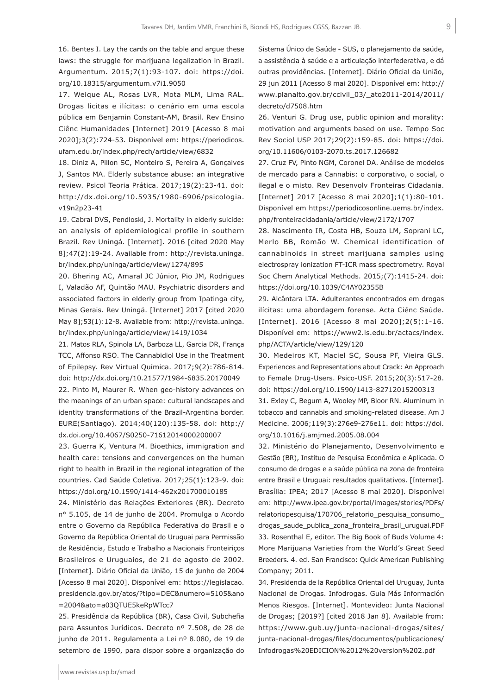16. Bentes I. Lay the cards on the table and argue these laws: the struggle for marijuana legalization in Brazil. Argumentum. 2015;7(1):93-107. doi: https://doi. org/10.18315/argumentum.v7i1.9050

17. Weique AL, Rosas LVR, Mota MLM, Lima RAL. Drogas lícitas e ilícitas: o cenário em uma escola pública em Benjamin Constant-AM, Brasil. Rev Ensino Ciênc Humanidades [Internet] 2019 [Acesso 8 mai 2020];3(2):724-53. Disponível em: https://periodicos. ufam.edu.br/index.php/rech/article/view/6832

18. Diniz A, Pillon SC, Monteiro S, Pereira A, Gonçalves J, Santos MA. Elderly substance abuse: an integrative review. Psicol Teoria Prática. 2017;19(2):23-41. doi: http://dx.doi.org/10.5935/1980-6906/psicologia. v19n2p23-41

19. Cabral DVS, Pendloski, J. Mortality in elderly suicide: an analysis of epidemiological profile in southern Brazil. Rev Uningá. [Internet]. 2016 [cited 2020 May 8];47(2):19-24. Available from: http://revista.uninga. br/index.php/uninga/article/view/1274/895

20. Bhering AC, Amaral JC Júnior, Pio JM, Rodrigues I, Valadão AF, Quintão MAU. Psychiatric disorders and associated factors in elderly group from Ipatinga city, Minas Gerais. Rev Uningá. [Internet] 2017 [cited 2020 May 8];53(1):12-8. Available from: http://revista.uninga. br/index.php/uninga/article/view/1419/1034

21. Matos RLA, Spinola LA, Barboza LL, Garcia DR, França TCC, Affonso RSO. The Cannabidiol Use in the Treatment of Epilepsy. Rev Virtual Química. 2017;9(2):786-814. doi: http://dx.doi.org/10.21577/1984-6835.20170049 22. Pinto M, Maurer R. When geo-history advances on the meanings of an urban space: cultural landscapes and identity transformations of the Brazil-Argentina border. EURE(Santiago). 2014;40(120):135-58. doi: http:// dx.doi.org/10.4067/S0250-71612014000200007

23. Guerra K, Ventura M. Bioethics, immigration and health care: tensions and convergences on the human right to health in Brazil in the regional integration of the countries. Cad Saúde Coletiva. 2017;25(1):123-9. doi: https://doi.org/10.1590/1414-462x201700010185

24. Ministério das Relações Exteriores (BR). Decreto n° 5.105, de 14 de junho de 2004. Promulga o Acordo entre o Governo da República Federativa do Brasil e o Governo da República Oriental do Uruguai para Permissão de Residência, Estudo e Trabalho a Nacionais Fronteiriços Brasileiros e Uruguaios, de 21 de agosto de 2002. [Internet]. Diário Oficial da União, 15 de junho de 2004 [Acesso 8 mai 2020]. Disponível em: https://legislacao. presidencia.gov.br/atos/?tipo=DEC&numero=5105&ano =2004&ato=a03QTUE5keRpWTcc7

25. Presidência da República (BR), Casa Civil, Subchefia para Assuntos Jurídicos. Decreto nº 7.508, de 28 de junho de 2011. Regulamenta a Lei nº 8.080, de 19 de setembro de 1990, para dispor sobre a organização do Sistema Único de Saúde - SUS, o planejamento da saúde, a assistência à saúde e a articulação interfederativa, e dá outras providências. [Internet]. Diário Oficial da União, 29 jun 2011 [Acesso 8 mai 2020]. Disponível em: http:// www.planalto.gov.br/ccivil\_03/\_ato2011-2014/2011/ decreto/d7508.htm

26. Venturi G. Drug use, public opinion and morality: motivation and arguments based on use. Tempo Soc Rev Sociol USP 2017;29(2):159-85. doi: https://doi. org/10.11606/0103-2070.ts.2017.126682

27. Cruz FV, Pinto NGM, Coronel DA. Análise de modelos de mercado para a Cannabis: o corporativo, o social, o ilegal e o misto. Rev Desenvolv Fronteiras Cidadania. [Internet] 2017 [Acesso 8 mai 2020];1(1):80-101. Disponível em https://periodicosonline.uems.br/index. php/fronteiracidadania/article/view/2172/1707

28. Nascimento IR, Costa HB, Souza LM, Soprani LC, Merlo BB, Romão W. Chemical identification of cannabinoids in street marijuana samples using electrospray ionization FT-ICR mass spectrometry. Royal Soc Chem Analytical Methods. 2015;(7):1415-24. doi: https://doi.org/10.1039/C4AY02355B

29. Alcântara LTA. Adulterantes encontrados em drogas ilícitas: uma abordagem forense. Acta Ciênc Saúde. [Internet]. 2016 [Acesso 8 mai 2020];2(5):1-16. Disponível em: https://www2.ls.edu.br/actacs/index. php/ACTA/article/view/129/120

30. Medeiros KT, Maciel SC, Sousa PF, Vieira GLS. Experiences and Representations about Crack: An Approach to Female Drug-Users. Psico-USF. 2015;20(3):517-28. doi: https://doi.org/10.1590/1413-82712015200313

31. Exley C, Begum A, Wooley MP, Bloor RN. Aluminum in tobacco and cannabis and smoking-related disease. Am J Medicine. 2006;119(3):276e9-276e11. doi: https://doi. org/10.1016/j.amjmed.2005.08.004

32. Ministério do Planejamento, Desenvolvimento e Gestão (BR), Instituo de Pesquisa Econômica e Aplicada. O consumo de drogas e a saúde pública na zona de fronteira entre Brasil e Uruguai: resultados qualitativos. [Internet]. Brasília: IPEA; 2017 [Acesso 8 mai 2020]. Disponível em: http://www.ipea.gov.br/portal/images/stories/PDFs/ relatoriopesquisa/170706\_relatorio\_pesquisa\_consumo\_ drogas\_saude\_publica\_zona\_fronteira\_brasil\_uruguai.PDF 33. Rosenthal E, editor. The Big Book of Buds Volume 4: More Marijuana Varieties from the World's Great Seed Breeders. 4. ed. San Francisco: Quick American Publishing Company; 2011.

34. Presidencia de la República Oriental del Uruguay, Junta Nacional de Drogas. Infodrogas. Guia Más Información Menos Riesgos. [Internet]. Montevideo: Junta Nacional de Drogas; [2019?] [cited 2018 Jan 8]. Available from: https://www.gub.uy/junta-nacional-drogas/sites/ junta-nacional-drogas/files/documentos/publicaciones/ Infodrogas%20EDICION%2012%20version%202.pdf